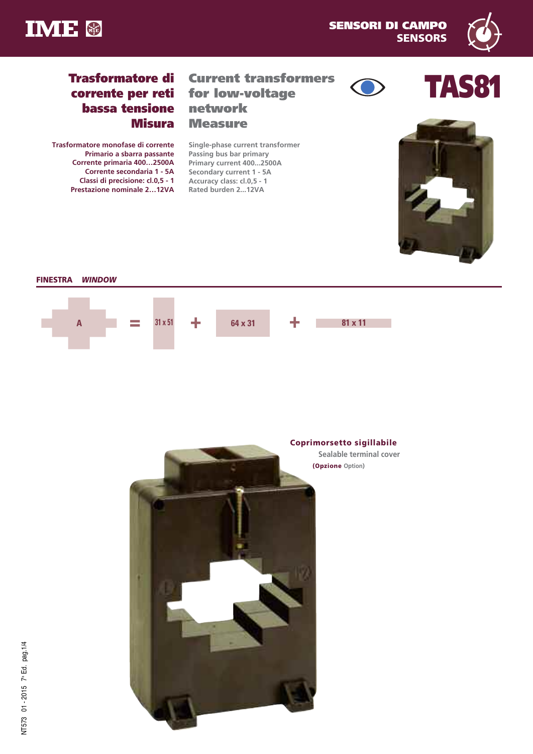



# **Trasformatore di corrente per reti bassa tensione Misura**

**Trasformatore monofase di corrente Primario a sbarra passante Corrente primaria 400…2500A Corrente secondaria 1 - 5A Classi di precisione: cl.0,5 - 1 Prestazione nominale 2…12VA**

## **Current transformers for low-voltage network Measure**

**Single-phase current transformer Passing bus bar primary Primary current 400...2500A Secondary current 1 - 5A Accuracy class: cl.0,5 - 1 Rated burden 2...12VA**







## **FINESTRA** *WINDOW*



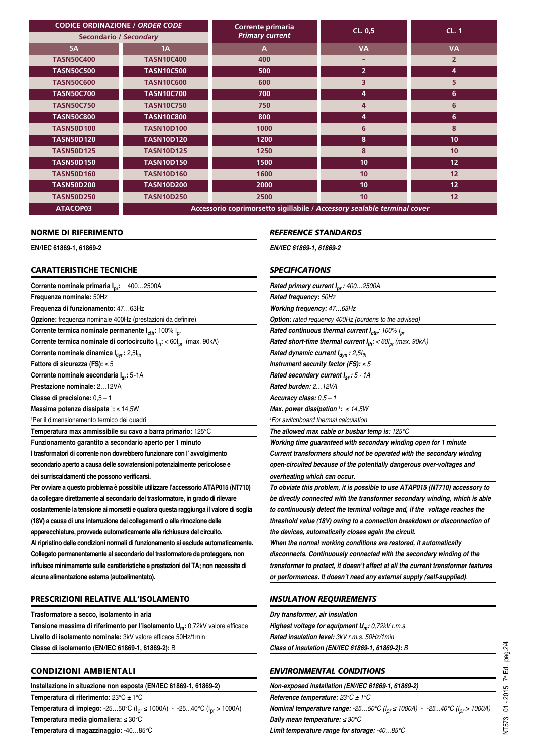| <b>CODICE ORDINAZIONE / ORDER CODE</b> |                                                                          | Corrente primaria      | CL. 0.5         | CL.1           |  |  |  |  |  |
|----------------------------------------|--------------------------------------------------------------------------|------------------------|-----------------|----------------|--|--|--|--|--|
| <b>Secondario / Secondary</b>          |                                                                          | <b>Primary current</b> |                 |                |  |  |  |  |  |
| <b>5A</b>                              | 1A                                                                       | A                      | <b>VA</b>       | <b>VA</b>      |  |  |  |  |  |
| <b>TASN50C400</b>                      | <b>TASN10C400</b>                                                        | 400                    |                 | $\overline{2}$ |  |  |  |  |  |
| <b>TASN50C500</b>                      | <b>TASN10C500</b>                                                        | 500                    | $\overline{2}$  | 4              |  |  |  |  |  |
| <b>TASN50C600</b>                      | <b>TASN10C600</b>                                                        | 600                    | 3               | 5              |  |  |  |  |  |
| <b>TASN50C700</b>                      | <b>TASN10C700</b>                                                        | 700                    | 4               | 6              |  |  |  |  |  |
| <b>TASN50C750</b>                      | <b>TASN10C750</b>                                                        | 750                    | 4               | 6              |  |  |  |  |  |
| <b>TASN50C800</b>                      | <b>TASN10C800</b>                                                        | 800                    | 4               | 6              |  |  |  |  |  |
| <b>TASN50D100</b>                      | <b>TASN10D100</b>                                                        | 1000                   | 6               | 8              |  |  |  |  |  |
| <b>TASN50D120</b>                      | <b>TASN10D120</b>                                                        | 1200                   | 8               | 10             |  |  |  |  |  |
| <b>TASN50D125</b>                      | <b>TASN10D125</b>                                                        | 1250                   | 8               | 10             |  |  |  |  |  |
| <b>TASN50D150</b>                      | <b>TASN10D150</b>                                                        | 1500                   | 10 <sup>1</sup> | 12             |  |  |  |  |  |
| <b>TASN50D160</b>                      | <b>TASN10D160</b>                                                        | 1600                   | 10 <sup>1</sup> | 12             |  |  |  |  |  |
| <b>TASN50D200</b>                      | <b>TASN10D200</b>                                                        | 2000                   | 10 <sup>1</sup> | 12             |  |  |  |  |  |
| <b>TASN50D250</b>                      | <b>TASN10D250</b>                                                        | 2500                   | 10 <sup>1</sup> | 12             |  |  |  |  |  |
| ATACOP03                               | Accessorio coprimorsetto sigillabile / Accessory sealable terminal cover |                        |                 |                |  |  |  |  |  |

#### **NORME DI RIFERIMENTO**

**EN/IEC 61869-1, 61869-2**

#### *REFERENCE STANDARDS*

*EN/IEC 61869-1, 61869-2*

#### **CARATTERISTICHE TECNICHE**

**Corrente nominale primaria**  $I_{\text{nr}}$ **: 400...2500A Frequenza nominale:** 50Hz **Frequenza di funzionamento:** 47…63Hz **Opzione:** frequenza nominale 400Hz (prestazioni da definire) **Corrente termica nominale permanente**  $I_{\text{cth}}$ **: 100%**  $I_{\text{or}}$ **Corrente termica nominale di cortocircuito**  $I_{th}$ : < 60 $I_{pr}$  (max. 90kA) **Corrente nominale dinamica**  $I_{dyn}$ : 2,5 $I_{th}$ **Fattore di sicurezza (FS):** ≤ 5 **Corrente nominale secondaria Isr:** 5-1A **Prestazione nominale:** 2…12VA **Classe di precisione:** 0,5 – 1 **Massima potenza dissipata <sup>1</sup> :** ≤ 14,5W **1** Per il dimensionamento termico dei quadri **Temperatura max ammissibile su cavo a barra primario:** 125°C **Funzionamento garantito a secondario aperto per 1 minuto I trasformatori di corrente non dovrebbero funzionare con l' avvolgimento secondario aperto a causa delle sovratensioni potenzialmente pericolose e dei surriscaldamenti che possono verificarsi. Per ovviare a questo problema è possibile utilizzare l'accessorio ATAP015 (NT710) da collegare direttamente al secondario del trasformatore, in grado di rilevare costantemente la tensione ai morsetti e qualora questa raggiunga il valore di soglia (18V) a causa di una interruzione dei collegamenti o alla rimozione delle apparecchiature, provvede automaticamente alla richiusura del circuito. Al ripristino delle condizioni normali di funzionamento si esclude automaticamente. Collegato permanentemente al secondario del trasformatore da proteggere, non influisce minimamente sulle caratteristiche e prestazioni del TA; non necessita di**

**alcuna alimentazione esterna (autoalimentato).**

#### **PRESCRIZIONI RELATIVE ALL'ISOLAMENTO**

**Trasformatore a secco, isolamento in aria Tensione massima di riferimento per l'isolamento Um:** 0,72kV valore efficace **Livello di isolamento nominale:** 3kV valore efficace 50Hz/1min **Classe di isolamento (EN/IEC 61869-1, 61869-2):** B

#### **CONDIZIONI AMBIENTALI**

**Installazione in situazione non esposta (EN/IEC 61869-1, 61869-2) Temperatura di riferimento:** 23°C ± 1°C **Temperatura di impiego:** -25…50°C (I pr ≤ 1000A) - -25...40°C (I pr > 1000A) **Temperatura media giornaliera:** ≤ 30°C **Temperatura di magazzinaggio:** -40…85°C

## *SPECIFICATIONS*

| Rated primary current I <sub>pr</sub> : 4002500A                         |
|--------------------------------------------------------------------------|
| Rated frequency: 50Hz                                                    |
| Working frequency: 4763Hz                                                |
| <b>Option:</b> rated requency 400Hz (burdens to the advised)             |
| Rated continuous thermal current I <sub>cth</sub> : 100% I <sub>pr</sub> |
| Rated short-time thermal current $I_{th}$ : < 60 $I_{or}$ (max. 90kA)    |
| Rated dynamic current $I_{dyn}$ : 2,5 $I_{th}$                           |
| Instrument security factor (FS): $\leq$ 5                                |
| Rated secondary current $I_{sr}$ : 5 - 1A                                |
| Rated burden: 212VA                                                      |
| Accuracy class: $0,5 - 1$                                                |
| Max. power dissipation $\frac{1}{2}$ : $\leq$ 14,5W                      |
| <sup>1</sup> For switchboard thermal calculation                         |
| The allowed max cable or busbar temp is: $125^{\circ}$ C                 |
| Working time guaranteed with secondary winding open for 1 minute         |
| Current transformers should not be operated with the secondary winding   |
| open-circuited because of the potentially dangerous over-voltages and    |

*overheating which can occur.*

*To obviate this problem, it is possible to use ATAP015 (NT710) accessory to be directly connected with the transformer secondary winding, which is able to continuously detect the terminal voltage and, if the voltage reaches the threshold value (18V) owing to a connection breakdown or disconnection of the devices, automatically closes again the circuit.*

*When the normal working conditions are restored, it automatically disconnects. Continuously connected with the secondary winding of the transformer to protect, it doesn't affect at all the current transformer features or performances. It doesn't need any external supply (self-supplied).*

#### *INSULATION REQUIREMENTS*

| Dry transformer, air insulation                                      |  |
|----------------------------------------------------------------------|--|
| <b>Highest voltage for equipment <math>U_m</math>:</b> 0,72kV r.m.s. |  |
| <b>Rated insulation level: 3kV r.m.s. 50Hz/1min</b>                  |  |
| Class of insulation (EN/IEC 61869-1, 61869-2): B                     |  |

### *ENVIRONMENTAL CONDITIONS*

*Reference temperature: 23°C ± 1°C*

*Nominal temperature range: -25…50°C (I pr ≤ 1000A) - -25...40°C (I pr > 1000A)*

*Daily mean temperature: ≤ 30°C Limit temperature range for storage: -40…85°C*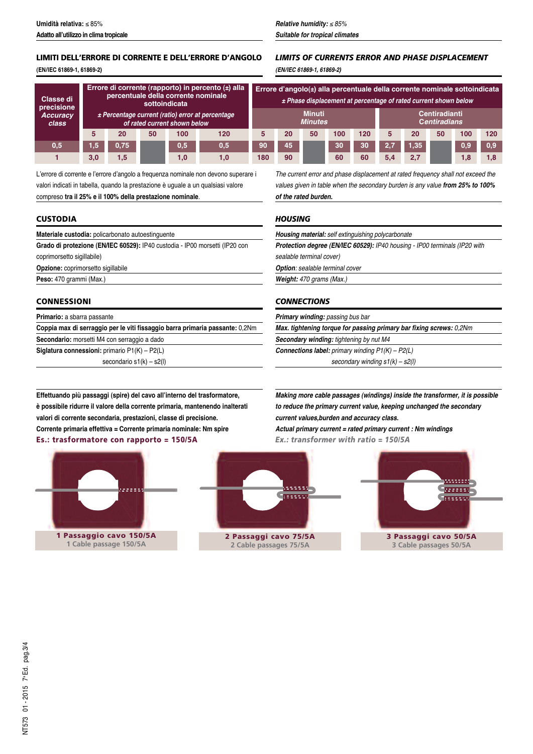## **LIMITI DELL'ERRORE DI CORRENTE E DELL'ERRORE D'ANGOLO**

**(EN/IEC 61869-1, 61869-2)**

| Classe di<br>precisione  | Errore di corrente (rapporto) in percento (±) alla<br>percentuale della corrente nominale<br>sottoindicata<br>± Percentage current (ratio) error at percentage<br>of rated current shown below |      |    |     |     | Errore d'angolo(±) alla percentuale della corrente nominale sottoindicata<br>± Phase displacement at percentage of rated current shown below |    |    |     |                                      |     |                  |    |     |     |
|--------------------------|------------------------------------------------------------------------------------------------------------------------------------------------------------------------------------------------|------|----|-----|-----|----------------------------------------------------------------------------------------------------------------------------------------------|----|----|-----|--------------------------------------|-----|------------------|----|-----|-----|
| <b>Accuracy</b><br>class |                                                                                                                                                                                                |      |    |     |     | <b>Minuti</b><br><b>Minutes</b>                                                                                                              |    |    |     | Centiradianti<br><b>Centiradians</b> |     |                  |    |     |     |
|                          |                                                                                                                                                                                                | 20   | 50 | 100 | 120 |                                                                                                                                              | 20 | 50 | 100 | 120                                  |     | 20               | 50 | 100 | 120 |
| 0,5                      | 1,5                                                                                                                                                                                            | 0,75 |    | 0,5 | 0,5 | 90                                                                                                                                           | 45 |    | 30  | 30                                   | 2,7 | .35 <sub>1</sub> |    | 0.9 | 0.9 |
|                          | 3,0                                                                                                                                                                                            | 1.5  |    | 1,0 | 1,0 | 180                                                                                                                                          | 90 |    | 60  | 60                                   | 5.4 | 2.7              |    |     | 1.8 |

L'errore di corrente e l'errore d'angolo a frequenza nominale non devono superare i valori indicati in tabella, quando la prestazione è uguale a un qualsiasi valore compreso **tra il 25% e il 100% della prestazione nominale**.

### **CUSTODIA**

**Materiale custodia:** policarbonato autoestinguente

**Grado di protezione (EN/IEC 60529):** IP40 custodia - IP00 morsetti (IP20 con coprimorsetto sigillabile)

**Opzione:** coprimorsetto sigillabile

**Peso:** 470 grammi (Max.)

#### **CONNESSIONI**

**Primario:** a sbarra passante

**Coppia max di serraggio per le viti fissaggio barra primaria passante:** 0,2Nm

**Secondario:** morsetti M4 con serraggio a dado

**Siglatura connessioni:** primario P1(K) – P2(L)

secondario s1(k) – s2(l)

*The current error and phase displacement at rated frequency shall not exceed the values given in table when the secondary burden is any value from 25% to 100% of the rated burden.*

### *HOUSING*

*Housing material: self extinguishing polycarbonate Protection degree (EN/IEC 60529): IP40 housing - IP00 terminals (IP20 with sealable terminal cover)*

*Option: sealable terminal cover*

*Weight: 470 grams (Max.)*

### *CONNECTIONS*

*Primary winding: passing bus bar*

*Max. tightening torque for passing primary bar fixing screws: 0,2Nm Secondary winding: tightening by nut M4*

*Connections label: primary winding P1(K) – P2(L)*

*secondary winding s1(k) – s2(l)*

**Effettuando più passaggi (spire) del cavo all'interno del trasformatore, è possibile ridurre il valore della corrente primaria, mantenendo inalterati valori di corrente secondaria, prestazioni, classe di precisione. Corrente primaria effettiva = Corrente primaria nominale: Nm spire Es.: trasformatore con rapporto = 150/5A**







### *LIMITS OF CURRENTS ERROR AND PHASE DISPLACEMENT (EN/IEC 61869-1, 61869-2)*

*Making more cable passages (windings) inside the transformer, it is possible to reduce the primary current value, keeping unchanged the secondary current values,burden and accuracy class. Actual primary current = rated primary current : Nm windings Ex.: transformer with ratio = 150/5A*